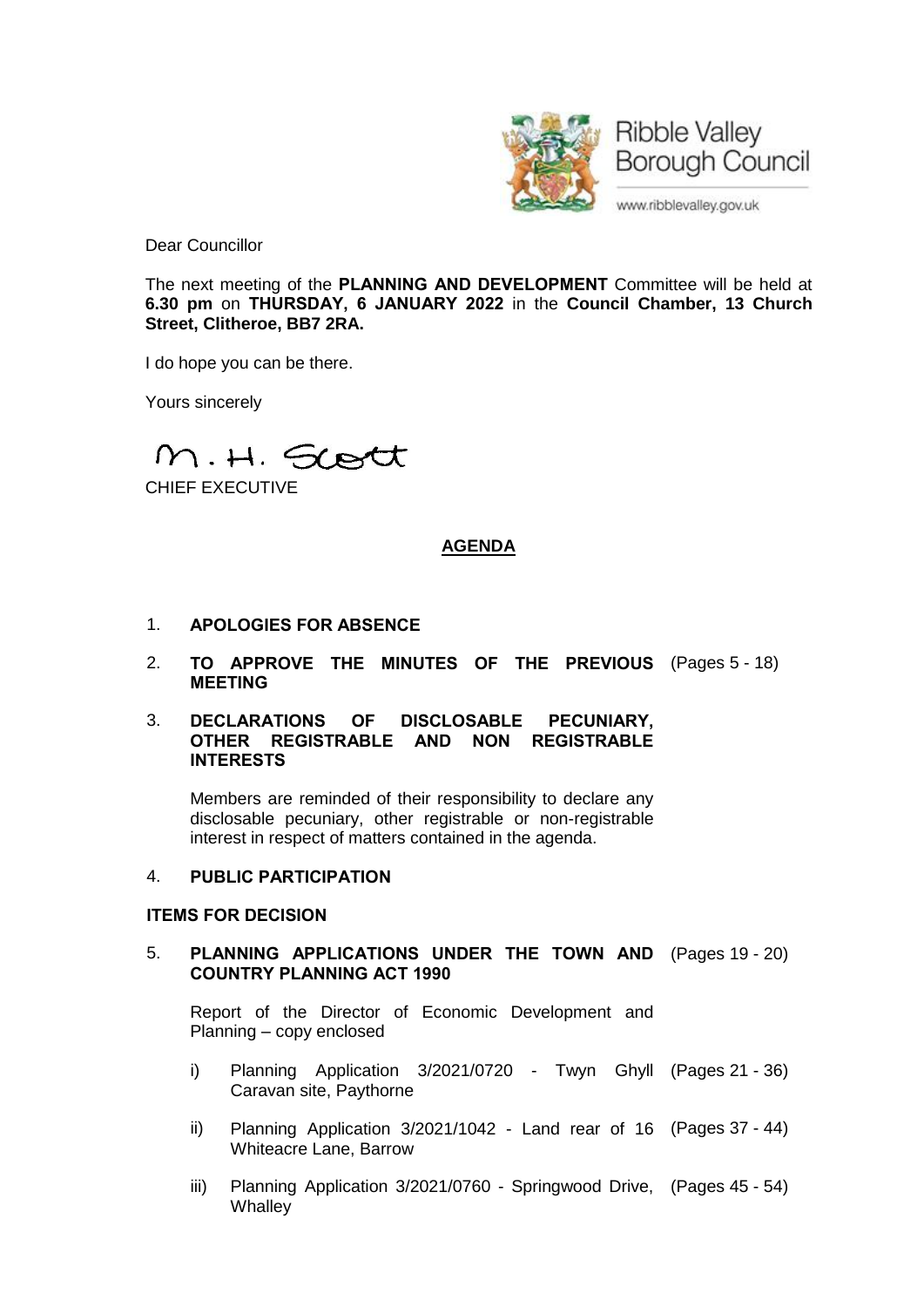

Dear Councillor

The next meeting of the **PLANNING AND DEVELOPMENT** Committee will be held at **6.30 pm** on **THURSDAY, 6 JANUARY 2022** in the **Council Chamber, 13 Church Street, Clitheroe, BB7 2RA.**

I do hope you can be there.

Yours sincerely

M.H. Scott

CHIEF EXECUTIVE

# **AGENDA**

- 1. **APOLOGIES FOR ABSENCE**
- 2. **TO APPROVE THE MINUTES OF THE PREVIOUS** (Pages 5 18) **MEETING**

#### 3. **DECLARATIONS OF DISCLOSABLE PECUNIARY, OTHER REGISTRABLE AND NON REGISTRABLE INTERESTS**

Members are reminded of their responsibility to declare any disclosable pecuniary, other registrable or non-registrable interest in respect of matters contained in the agenda.

# 4. **PUBLIC PARTICIPATION**

# **ITEMS FOR DECISION**

# 5. **PLANNING APPLICATIONS UNDER THE TOWN AND** (Pages 19 - 20) **COUNTRY PLANNING ACT 1990**

Report of the Director of Economic Development and Planning – copy enclosed

- i) Planning Application 3/2021/0720 Twyn Ghyll (Pages 21 36) Caravan site, Paythorne
- ii) Planning Application 3/2021/1042 Land rear of 16 (Pages 37 44) Whiteacre Lane, Barrow
- iii) Planning Application 3/2021/0760 Springwood Drive, (Pages 45 54)**Whalley**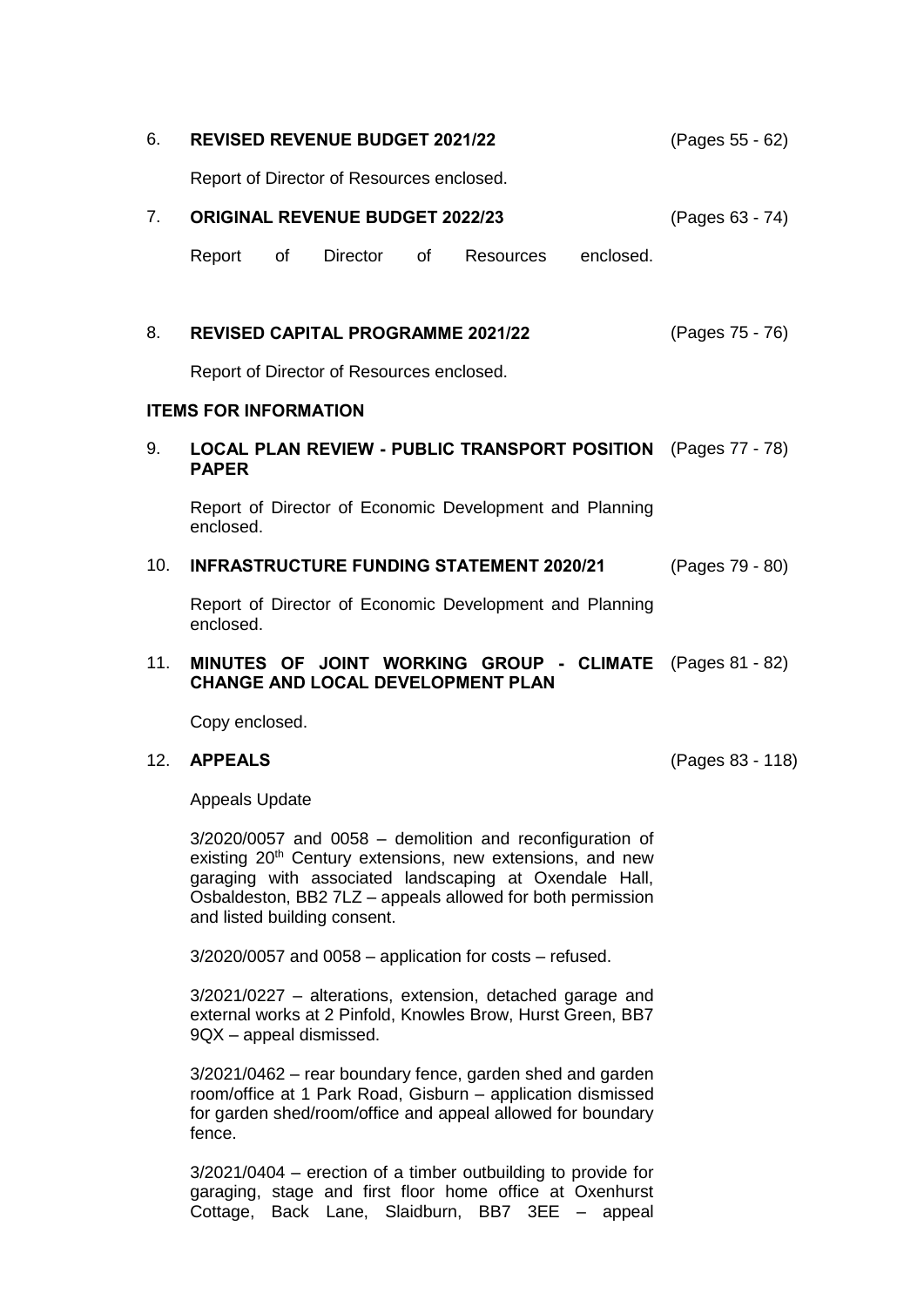| 6.                           | <b>REVISED REVENUE BUDGET 2021/22</b>                                                                                                                                                           |                                                         |          |    |                  |           | (Pages 55 - 62)  |
|------------------------------|-------------------------------------------------------------------------------------------------------------------------------------------------------------------------------------------------|---------------------------------------------------------|----------|----|------------------|-----------|------------------|
|                              | Report of Director of Resources enclosed.                                                                                                                                                       |                                                         |          |    |                  |           |                  |
| 7.                           | <b>ORIGINAL REVENUE BUDGET 2022/23</b>                                                                                                                                                          |                                                         |          |    |                  |           | (Pages 63 - 74)  |
|                              | Report                                                                                                                                                                                          | of                                                      | Director | of | <b>Resources</b> | enclosed. |                  |
|                              |                                                                                                                                                                                                 |                                                         |          |    |                  |           |                  |
| 8.                           | (Pages 75 - 76)<br><b>REVISED CAPITAL PROGRAMME 2021/22</b><br>Report of Director of Resources enclosed.                                                                                        |                                                         |          |    |                  |           |                  |
|                              |                                                                                                                                                                                                 |                                                         |          |    |                  |           |                  |
| <b>ITEMS FOR INFORMATION</b> |                                                                                                                                                                                                 |                                                         |          |    |                  |           |                  |
| 9.                           | LOCAL PLAN REVIEW - PUBLIC TRANSPORT POSITION<br><b>PAPER</b>                                                                                                                                   |                                                         |          |    |                  |           | (Pages 77 - 78)  |
|                              | Report of Director of Economic Development and Planning<br>enclosed.                                                                                                                            |                                                         |          |    |                  |           |                  |
| 10.                          | <b>INFRASTRUCTURE FUNDING STATEMENT 2020/21</b>                                                                                                                                                 |                                                         |          |    |                  |           | (Pages 79 - 80)  |
|                              | enclosed.                                                                                                                                                                                       | Report of Director of Economic Development and Planning |          |    |                  |           |                  |
| 11.                          | MINUTES OF JOINT WORKING GROUP - CLIMATE (Pages 81 - 82)<br><b>CHANGE AND LOCAL DEVELOPMENT PLAN</b>                                                                                            |                                                         |          |    |                  |           |                  |
|                              | Copy enclosed.                                                                                                                                                                                  |                                                         |          |    |                  |           |                  |
| 12.                          | <b>APPEALS</b>                                                                                                                                                                                  |                                                         |          |    |                  |           | (Pages 83 - 118) |
|                              | <b>Appeals Update</b>                                                                                                                                                                           |                                                         |          |    |                  |           |                  |
|                              | $3/2020/0057$ and 0058 - demolition and reconfiguration of<br>existing 20 <sup>th</sup> Century extensions, new extensions, and new<br>research a think accepted leadconstant of Overalele Uell |                                                         |          |    |                  |           |                  |

garaging with associated landscaping at Oxendale Hall, Osbaldeston, BB2 7LZ – appeals allowed for both permission and listed building consent.

3/2020/0057 and 0058 – application for costs – refused.

3/2021/0227 – alterations, extension, detached garage and external works at 2 Pinfold, Knowles Brow, Hurst Green, BB7 9QX – appeal dismissed.

3/2021/0462 – rear boundary fence, garden shed and garden room/office at 1 Park Road, Gisburn – application dismissed for garden shed/room/office and appeal allowed for boundary fence.

3/2021/0404 – erection of a timber outbuilding to provide for garaging, stage and first floor home office at Oxenhurst Cottage, Back Lane, Slaidburn, BB7 3EE – appeal